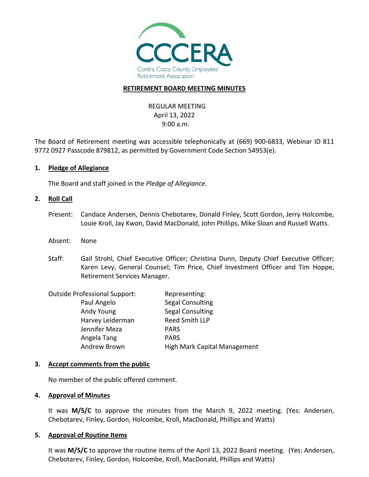

### **RETIREMENT BOARD MEETING MINUTES**

REGULAR MEETING April 13, 2022 9:00 a.m.

The Board of Retirement meeting was accessible telephonically at (669) 900-6833, Webinar ID 811 9772 0927 Passcode 879812, as permitted by Government Code Section 54953(e).

**1. Pledge of Allegiance**

The Board and staff joined in the *Pledge of Allegiance.*

#### **2. Roll Call**

- Present: Candace Andersen, Dennis Chebotarev, Donald Finley, Scott Gordon, Jerry Holcombe, Louie Kroll, Jay Kwon, David MacDonald, John Phillips, Mike Sloan and Russell Watts.
- Absent: None
- Staff: Gail Strohl, Chief Executive Officer; Christina Dunn, Deputy Chief Executive Officer; Karen Levy, General Counsel; Tim Price, Chief Investment Officer and Tim Hoppe, Retirement Services Manager.

| <b>Outside Professional Support:</b> | Representing:                       |
|--------------------------------------|-------------------------------------|
| Paul Angelo                          | Segal Consulting                    |
| Andy Young                           | <b>Segal Consulting</b>             |
| Harvey Leiderman                     | Reed Smith LLP                      |
| Jennifer Meza                        | <b>PARS</b>                         |
| Angela Tang                          | <b>PARS</b>                         |
| Andrew Brown                         | <b>High Mark Capital Management</b> |
|                                      |                                     |

#### **3. Accept comments from the public**

No member of the public offered comment.

#### **4. Approval of Minutes**

It was **M/S/C** to approve the minutes from the March 9, 2022 meeting. (Yes: Andersen, Chebotarev, Finley, Gordon, Holcombe, Kroll, MacDonald, Phillips and Watts)

#### **5. Approval of Routine Items**

It was **M/S/C** to approve the routine items of the April 13, 2022 Board meeting. (Yes: Andersen, Chebotarev, Finley, Gordon, Holcombe, Kroll, MacDonald, Phillips and Watts)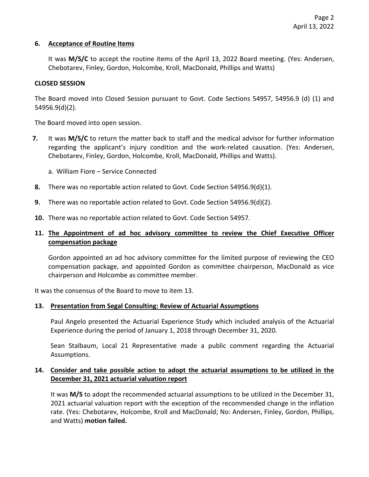## **6. Acceptance of Routine Items**

It was **M/S/C** to accept the routine items of the April 13, 2022 Board meeting. (Yes: Andersen, Chebotarev, Finley, Gordon, Holcombe, Kroll, MacDonald, Phillips and Watts)

## **CLOSED SESSION**

The Board moved into Closed Session pursuant to Govt. Code Sections 54957, 54956.9 (d) (1) and 54956.9(d)(2).

The Board moved into open session.

- **7.** It was **M/S/C** to return the matter back to staff and the medical advisor for further information regarding the applicant's injury condition and the work-related causation. (Yes: Andersen, Chebotarev, Finley, Gordon, Holcombe, Kroll, MacDonald, Phillips and Watts).
	- a. William Fiore Service Connected
- **8.** There was no reportable action related to Govt. Code Section 54956.9(d)(1).
- **9.** There was no reportable action related to Govt. Code Section 54956.9(d)(2).
- **10.** There was no reportable action related to Govt. Code Section 54957.

## **11. The Appointment of ad hoc advisory committee to review the Chief Executive Officer compensation package**

Gordon appointed an ad hoc advisory committee for the limited purpose of reviewing the CEO compensation package, and appointed Gordon as committee chairperson, MacDonald as vice chairperson and Holcombe as committee member.

It was the consensus of the Board to move to item 13.

## **13. Presentation from Segal Consulting: Review of Actuarial Assumptions**

Paul Angelo presented the Actuarial Experience Study which included analysis of the Actuarial Experience during the period of January 1, 2018 through December 31, 2020.

Sean Stalbaum, Local 21 Representative made a public comment regarding the Actuarial Assumptions.

## **14. Consider and take possible action to adopt the actuarial assumptions to be utilized in the December 31, 2021 actuarial valuation report**

It was **M/S** to adopt the recommended actuarial assumptions to be utilized in the December 31, 2021 actuarial valuation report with the exception of the recommended change in the inflation rate. (Yes: Chebotarev, Holcombe, Kroll and MacDonald; No: Andersen, Finley, Gordon, Phillips, and Watts) **motion failed.**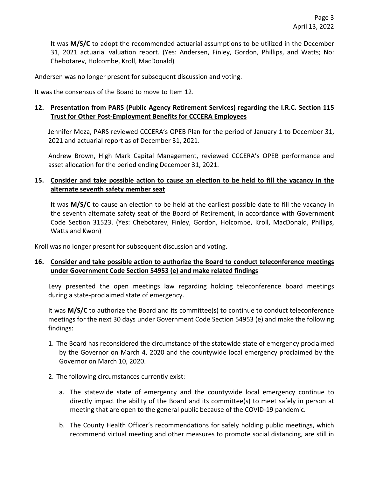It was **M/S/C** to adopt the recommended actuarial assumptions to be utilized in the December 31, 2021 actuarial valuation report. (Yes: Andersen, Finley, Gordon, Phillips, and Watts; No: Chebotarev, Holcombe, Kroll, MacDonald)

Andersen was no longer present for subsequent discussion and voting.

It was the consensus of the Board to move to Item 12.

# **12. Presentation from PARS (Public Agency Retirement Services) regarding the I.R.C. Section 115 Trust for Other Post-Employment Benefits for CCCERA Employees**

Jennifer Meza, PARS reviewed CCCERA's OPEB Plan for the period of January 1 to December 31, 2021 and actuarial report as of December 31, 2021.

Andrew Brown, High Mark Capital Management, reviewed CCCERA's OPEB performance and asset allocation for the period ending December 31, 2021.

# **15. Consider and take possible action to cause an election to be held to fill the vacancy in the alternate seventh safety member seat**

It was **M/S/C** to cause an election to be held at the earliest possible date to fill the vacancy in the seventh alternate safety seat of the Board of Retirement, in accordance with Government Code Section 31523. (Yes: Chebotarev, Finley, Gordon, Holcombe, Kroll, MacDonald, Phillips, Watts and Kwon)

Kroll was no longer present for subsequent discussion and voting.

## **16. Consider and take possible action to authorize the Board to conduct teleconference meetings under Government Code Section 54953 (e) and make related findings**

Levy presented the open meetings law regarding holding teleconference board meetings during a state-proclaimed state of emergency.

It was **M/S/C** to authorize the Board and its committee(s) to continue to conduct teleconference meetings for the next 30 days under Government Code Section 54953 (e) and make the following findings:

- 1. The Board has reconsidered the circumstance of the statewide state of emergency proclaimed by the Governor on March 4, 2020 and the countywide local emergency proclaimed by the Governor on March 10, 2020.
- 2. The following circumstances currently exist:
	- a. The statewide state of emergency and the countywide local emergency continue to directly impact the ability of the Board and its committee(s) to meet safely in person at meeting that are open to the general public because of the COVID-19 pandemic.
	- b. The County Health Officer's recommendations for safely holding public meetings, which recommend virtual meeting and other measures to promote social distancing, are still in